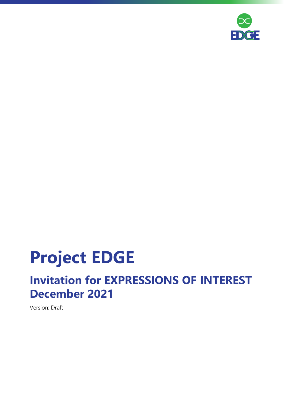

# **Project EDGE**

# **Invitation for EXPRESSIONS OF INTEREST December 2021**

Version: Draft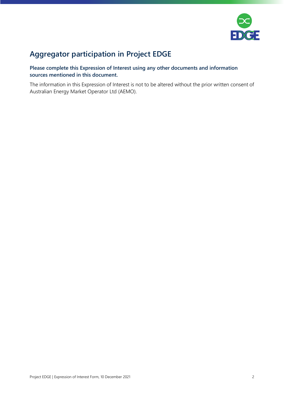

# **Aggregator participation in Project EDGE**

# **Please complete this Expression of Interest using any other documents and information sources mentioned in this document.**

The information in this Expression of Interest is not to be altered without the prior written consent of Australian Energy Market Operator Ltd (AEMO).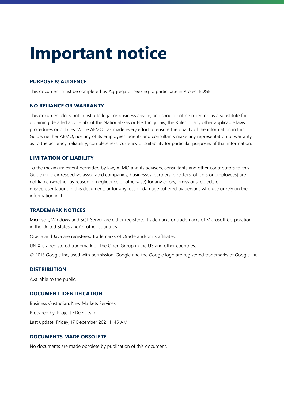# **Important notice**

# **PURPOSE & AUDIENCE**

This document must be completed by Aggregator seeking to participate in Project EDGE.

### **NO RELIANCE OR WARRANTY**

This document does not constitute legal or business advice, and should not be relied on as a substitute for obtaining detailed advice about the National Gas or Electricity Law, the Rules or any other applicable laws, procedures or policies. While AEMO has made every effort to ensure the quality of the information in this Guide, neither AEMO, nor any of its employees, agents and consultants make any representation or warranty as to the accuracy, reliability, completeness, currency or suitability for particular purposes of that information.

#### **LIMITATION OF LIABILITY**

To the maximum extent permitted by law, AEMO and its advisers, consultants and other contributors to this Guide (or their respective associated companies, businesses, partners, directors, officers or employees) are not liable (whether by reason of negligence or otherwise) for any errors, omissions, defects or misrepresentations in this document, or for any loss or damage suffered by persons who use or rely on the information in it.

#### **TRADEMARK NOTICES**

Microsoft, Windows and SQL Server are either registered trademarks or trademarks of Microsoft Corporation in the United States and/or other countries.

Oracle and Java are registered trademarks of Oracle and/or its affiliates.

UNIX is a registered trademark of The Open Group in the US and other countries.

© 2015 Google Inc, used with permission. Google and the Google logo are registered trademarks of Google Inc.

### **DISTRIBUTION**

Available to the public.

#### **DOCUMENT IDENTIFICATION**

Business Custodian: New Markets Services Prepared by: Project EDGE Team Last update: Friday, 17 December 2021 11:45 AM

# **DOCUMENTS MADE OBSOLETE**

No documents are made obsolete by publication of this document.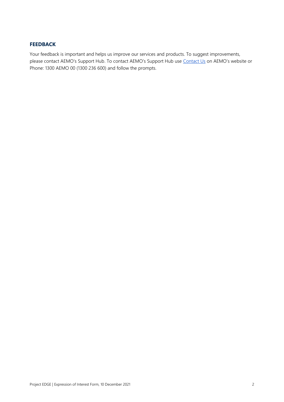### **FEEDBACK**

Your feedback is important and helps us improve our services and products. To suggest improvements, please contact AEMO's Support Hub. To contact AEMO's Support Hub use [Contact Us](http://aemo.com.au/Contact-us) on AEMO's website or Phone: 1300 AEMO 00 (1300 236 600) and follow the prompts.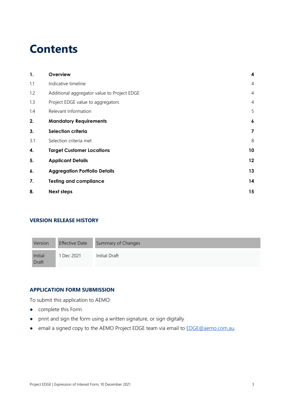# **Contents**

| 1.  | Overview                                    | $\boldsymbol{4}$        |
|-----|---------------------------------------------|-------------------------|
| 1.1 | Indicative timeline                         | $\overline{4}$          |
| 1.2 | Additional aggregator value to Project EDGE | $\overline{4}$          |
| 1.3 | Project EDGE value to aggregators           | $\overline{4}$          |
| 1.4 | Relevant Information                        | 5                       |
| 2.  | <b>Mandatory Requirements</b>               | 6                       |
| 3.  | Selection criteria                          | $\overline{\mathbf{z}}$ |
| 3.1 | Selection criteria met                      | 8                       |
| 4.  | <b>Target Customer Locations</b>            | 10                      |
| 5.  | <b>Applicant Details</b>                    | 12                      |
| 6.  | <b>Aggregation Portfolio Details</b>        | 13                      |
| 7.  | <b>Testing and compliance</b>               | 14                      |
| 8.  | <b>Next steps</b>                           | 15                      |
|     |                                             |                         |

# **VERSION RELEASE HISTORY**

| Version                 | <b>Effective Date</b> | Summary of Changes |
|-------------------------|-----------------------|--------------------|
| Initial<br><b>Draft</b> | 1 Dec 2021            | Initial Draft      |

### **APPLICATION FORM SUBMISSION**

To submit this application to AEMO:

- complete this Form
- print and sign the form using a written signature, or sign digitally
- email a signed copy to the AEMO Project EDGE team via email to **EDGE@aemo.com.au.**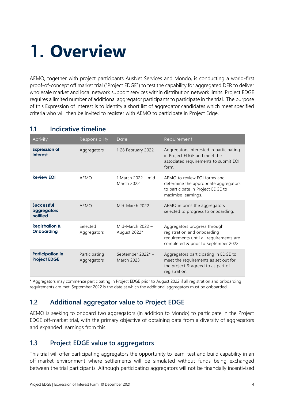# <span id="page-5-0"></span>**1. Overview**

AEMO, together with project participants AusNet Services and Mondo, is conducting a world-first proof-of-concept off market trial ("Project EDGE") to test the capability for aggregated DER to deliver wholesale market and local network support services within distribution network limits. Project EDGE requires a limited number of additional aggregator participants to participate in the trial. The purpose of this Expression of Interest is to identity a short list of aggregator candidates which meet specified criteria who will then be invited to register with AEMO to participate in Project Edge.

| Activity                                       | Responsibility               | Date                                     | Requirement                                                                                                                                    |
|------------------------------------------------|------------------------------|------------------------------------------|------------------------------------------------------------------------------------------------------------------------------------------------|
| <b>Expression of</b><br><b>Interest</b>        | Aggregators                  | 1-28 February 2022                       | Aggregators interested in participating<br>in Project EDGE and meet the<br>associated requirements to submit EOI<br>form.                      |
| <b>Review EOI</b>                              | AEMO                         | 1 March 2022 – mid-<br><b>March 2022</b> | AEMO to review EOI forms and<br>determine the appropriate aggregators<br>to participate in Project EDGE to<br>maximise learnings.              |
| <b>Successful</b><br>aggregators<br>notified   | AEMO                         | Mid-March 2022                           | AEMO informs the aggregators<br>selected to progress to onboarding.                                                                            |
| <b>Registration &amp;</b><br><b>Onboarding</b> | Selected<br>Aggregators      | Mid-March $2022 -$<br>August 2022*       | Aggregators progress through<br>registration and onboarding<br>requirements until all requirements are<br>completed & prior to September 2022. |
| <b>Participation in</b><br><b>Project EDGE</b> | Participating<br>Aggregators | September 2022* -<br><b>March 2023</b>   | Aggregators participating in EDGE to<br>meet the requirements as set out for<br>the project & agreed to as part of<br>registration.            |

# <span id="page-5-1"></span>**1.1 Indicative timeline**

\* Aggregators may commence participating in Project EDGE prior to August 2022 if all registration and onboarding requirements are met. September 2022 is the date at which the additional aggregators must be onboarded.

# <span id="page-5-2"></span>**1.2 Additional aggregator value to Project EDGE**

AEMO is seeking to onboard two aggregators (in addition to Mondo) to participate in the Project EDGE off-market trial, with the primary objective of obtaining data from a diversity of aggregators and expanded learnings from this.

# <span id="page-5-3"></span>**1.3 Project EDGE value to aggregators**

This trial will offer participating aggregators the opportunity to learn, test and build capability in an off-market environment where settlements will be simulated without funds being exchanged between the trial participants. Although participating aggregators will not be financially incentivised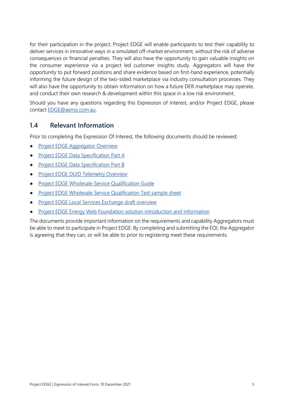for their participation in the project, Project EDGE will enable participants to test their capability to deliver services in innovative ways in a simulated off-market environment, without the risk of adverse consequences or financial penalties. They will also have the opportunity to gain valuable insights on the consumer experience via a project led customer insights study. Aggregators will have the opportunity to put forward positions and share evidence based on first-hand experience, potentially informing the future design of the two-sided marketplace via industry consultation processes. They will also have the opportunity to obtain information on how a future DER marketplace may operate, and conduct their own research & development within this space in a low risk environment.

Should you have any questions regarding this Expression of Interest, and/or Project EDGE, please contact [EDGE@aemo.com.au.](mailto:EDGE@aemo.com.au) 

# <span id="page-6-0"></span>**1.4 Relevant Information**

Prior to completing the Expression Of Interest, the following documents should be reviewed:

- **[Project EDGE Aggregator Overview](https://aemo.com.au/-/media/files/initiatives/der/2021/edge-aggregator-overview.pdf)**
- [Project EDGE Data Specification](https://aemo.com.au/-/media/files/initiatives/der/2021/edge-data-specs-part-a.pdf) Part A
- **[Project EDGE Data Specification Part B](https://aemo.com.au/-/media/files/initiatives/der/2021/edge-data-specs-part-b.pdf)**
- **[Project EDGE DUID Telemetry Overview](https://aemo.com.au/-/media/files/initiatives/der/2021/edge-duid-telemetry-overview.pdf)**
- **[Project EDGE Wholesale Service Qualification](https://aemo.com.au/-/media/files/initiatives/der/2021/edge-wholesale-service-qualification-guide.pdf) Guide**
- [Project EDGE Wholesale Service Qualification Test sample sheet](https://aemo.com.au/-/media/files/initiatives/der/2021/edge-wholesale-service-qualification-test-sheet.xls)
- [Project EDGE Local Services Exchange draft overview](https://aemo.com.au/-/media/files/initiatives/der/2021/edge-local-service-exchange-draft-overview.pdf)
- [Project EDGE Energy Web Foundation solution introduction and information](https://aemo.com.au/-/media/files/initiatives/der/2021/edge-ew-solution-intro-and-info.pdf)

The documents provide important information on the requirements and capability Aggregators must be able to meet to participate in Project EDGE. By completing and submitting the EOI, the Aggregator is agreeing that they can, or will be able to prior to registering meet these requirements.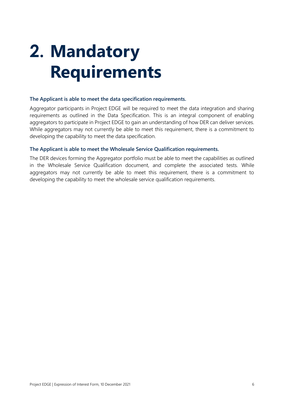# <span id="page-7-0"></span>**2. Mandatory Requirements**

### **The Applicant is able to meet the data specification requirements.**

Aggregator participants in Project EDGE will be required to meet the data integration and sharing requirements as outlined in the Data Specification. This is an integral component of enabling aggregators to participate in Project EDGE to gain an understanding of how DER can deliver services. While aggregators may not currently be able to meet this requirement, there is a commitment to developing the capability to meet the data specification.

### **The Applicant is able to meet the Wholesale Service Qualification requirements.**

The DER devices forming the Aggregator portfolio must be able to meet the capabilities as outlined in the Wholesale Service Qualification document, and complete the associated tests. While aggregators may not currently be able to meet this requirement, there is a commitment to developing the capability to meet the wholesale service qualification requirements.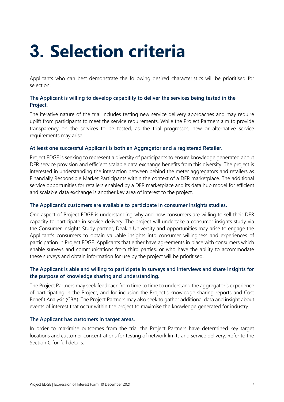# <span id="page-8-0"></span>**3. Selection criteria**

Applicants who can best demonstrate the following desired characteristics will be prioritised for selection.

# **The Applicant is willing to develop capability to deliver the services being tested in the Project.**

The iterative nature of the trial includes testing new service delivery approaches and may require uplift from participants to meet the service requirements. While the Project Partners aim to provide transparency on the services to be tested, as the trial progresses, new or alternative service requirements may arise.

# **At least one successful Applicant is both an Aggregator and a registered Retailer.**

Project EDGE is seeking to represent a diversity of participants to ensure knowledge generated about DER service provision and efficient scalable data exchange benefits from this diversity. The project is interested in understanding the interaction between behind the meter aggregators and retailers as Financially Responsible Market Participants within the context of a DER marketplace. The additional service opportunities for retailers enabled by a DER marketplace and its data hub model for efficient and scalable data exchange is another key area of interest to the project.

### **The Applicant's customers are available to participate in consumer insights studies.**

One aspect of Project EDGE is understanding why and how consumers are willing to sell their DER capacity to participate in service delivery. The project will undertake a consumer insights study via the Consumer Insights Study partner, Deakin University and opportunities may arise to engage the Applicant's consumers to obtain valuable insights into consumer willingness and experiences of participation in Project EDGE. Applicants that either have agreements in place with consumers which enable surveys and communications from third parties, or who have the ability to accommodate these surveys and obtain information for use by the project will be prioritised.

# **The Applicant is able and willing to participate in surveys and interviews and share insights for the purpose of knowledge sharing and understanding.**

The Project Partners may seek feedback from time to time to understand the aggregator's experience of participating in the Project, and for inclusion the Project's knowledge sharing reports and Cost Benefit Analysis (CBA). The Project Partners may also seek to gather additional data and insight about events of interest that occur within the project to maximise the knowledge generated for industry.

### **The Applicant has customers in target areas.**

In order to maximise outcomes from the trial the Project Partners have determined key target locations and customer concentrations for testing of network limits and service delivery. Refer to the Section C for full details.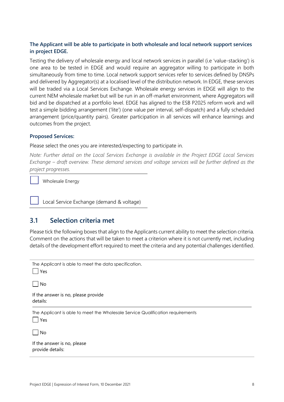# **The Applicant will be able to participate in both wholesale and local network support services in project EDGE.**

Testing the delivery of wholesale energy and local network services in parallel (i.e 'value-stacking') is one area to be tested in EDGE and would require an aggregator willing to participate in both simultaneously from time to time. Local network support services refer to services defined by DNSPs and delivered by Aggregator(s) at a localised level of the distribution network. In EDGE, these services will be traded via a Local Services Exchange. Wholesale energy services in EDGE will align to the current NEM wholesale market but will be run in an off-market environment, where Aggregators will bid and be dispatched at a portfolio level. EDGE has aligned to the ESB P2025 reform work and will test a simple bidding arrangement ('lite') (one value per interval, self-dispatch) and a fully scheduled arrangement (price/quantity pairs). Greater participation in all services will enhance learnings and outcomes from the project.

### **Proposed Services:**

Please select the ones you are interested/expecting to participate in.

*Note: Further detail on the Local Services Exchange is available in the Project EDGE Local Services Exchange – draft overview. These demand services and voltage services will be further defined as the project progresses.* 

Wholesale Energy

Local Service Exchange (demand & voltage)

# <span id="page-9-0"></span>**3.1 Selection criteria met**

Please tick the following boxes that align to the Applicants current ability to meet the selection criteria. Comment on the actions that will be taken to meet a criterion where it is not currently met, including details of the development effort required to meet the criteria and any potential challenges identified.

| The Applicant is able to meet the data specification.<br>Yes                          |
|---------------------------------------------------------------------------------------|
| No                                                                                    |
| If the answer is no, please provide<br>details:                                       |
| The Applicant is able to meet the Wholesale Service Qualification requirements<br>Yes |
| No                                                                                    |
| If the answer is no, please<br>provide details:                                       |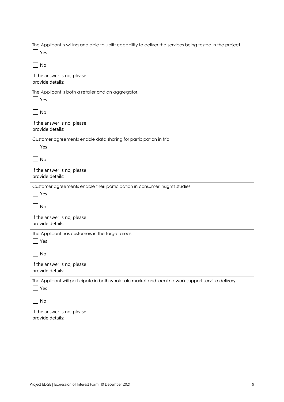| The Applicant is willing and able to uplift capability to deliver the services being tested in the project.<br>Yes |
|--------------------------------------------------------------------------------------------------------------------|
| No                                                                                                                 |
| If the answer is no, please<br>provide details:                                                                    |
| The Applicant is both a retailer and an aggregator.<br>Yes                                                         |
| $\Box$ No                                                                                                          |
| If the answer is no, please<br>provide details:                                                                    |
| Customer agreements enable data sharing for participation in trial<br>Yes                                          |
| $\bigsqcup$ No                                                                                                     |
| If the answer is no, please<br>provide details:                                                                    |
|                                                                                                                    |
| Customer agreements enable their participation in consumer insights studies<br>  Yes                               |
| No                                                                                                                 |
| If the answer is no, please<br>provide details:                                                                    |
| The Applicant has customers in the target areas<br>Yes                                                             |
| No                                                                                                                 |
| If the answer is no, please<br>provide details:                                                                    |
| The Applicant will participate in both wholesale market and local network support service delivery<br>Yes          |
| No                                                                                                                 |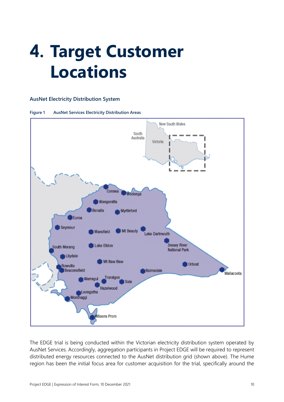# <span id="page-11-0"></span>**4. Target Customer Locations**

#### **AusNet Electricity Distribution System**





The EDGE trial is being conducted within the Victorian electricity distribution system operated by AusNet Services. Accordingly, aggregation participants in Project EDGE will be required to represent distributed energy resources connected to the AusNet distribution grid (shown above). The Hume region has been the initial focus area for customer acquisition for the trial, specifically around the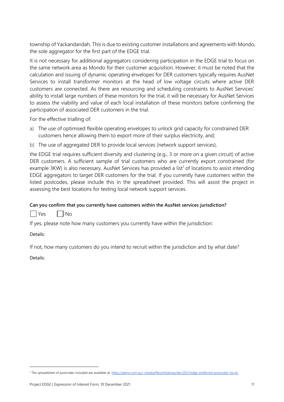township of Yackandandah. This is due to existing customer installations and agreements with Mondo, the sole aggregator for the first part of the EDGE trial.

It is not necessary for additional aggregators considering participation in the EDGE trial to focus on the same network area as Mondo for their customer acquisition. However, it must be noted that the calculation and issuing of dynamic operating envelopes for DER customers typically requires AusNet Services to install transformer monitors at the head of low voltage circuits where active DER customers are connected. As there are resourcing and scheduling constraints to AusNet Services' ability to install large numbers of these monitors for the trial, it will be necessary for AusNet Services to assess the viability and value of each local installation of these monitors before confirming the participation of associated DER customers in the trial.

For the effective trialling of:

- a) The use of optimised flexible operating envelopes to unlock grid capacity for constrained DER customers hence allowing them to export more of their surplus electricity, and;
- b) The use of aggregated DER to provide local services (network support services),

the EDGE trial requires sufficient diversity and clustering (e.g., 3 or more on a given circuit) of active DER customers. A sufficient sample of trial customers who are currently export constrained (for example 3KW) is also necessary. AusNet Services has provided a list<sup>1</sup> of locations to assist intending EDGE aggregators to target DER customers for the trial. If you currently have customers within the listed postcodes, please include this in the spreadsheet provided. This will assist the project in assessing the best locations for testing local network support services.

### **Can you confirm that you currently have customers within the AusNet services jurisdiction?**

| | Yes | | No

If yes, please note how many customers you currently have within the jurisdiction:

Details:

If not, how many customers do you intend to recruit within the jurisdiction and by what date?

Details:

<sup>1</sup> The spreadsheet of postcodes included are available at[: https://aemo.com.au/-/media/files/initiatives/der/2021/edge-preferred-postcodes-list.xls](https://aemo.com.au/-/media/files/initiatives/der/2021/edge-preferred-postcodes-list.xls)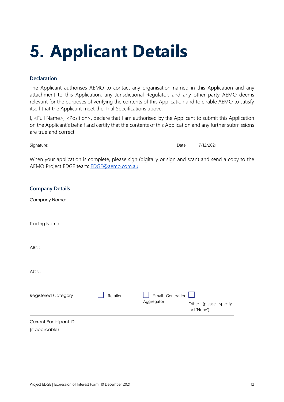# <span id="page-13-0"></span>**5. Applicant Details**

# **Declaration**

The Applicant authorises AEMO to contact any organisation named in this Application and any attachment to this Application, any Jurisdictional Regulator, and any other party AEMO deems relevant for the purposes of verifying the contents of this Application and to enable AEMO to satisfy itself that the Applicant meet the Trial Specifications above.

I, <Full Name>, <Position>, declare that I am authorised by the Applicant to submit this Application on the Applicant's behalf and certify that the contents of this Application and any further submissions are true and correct.

| Signature: | Date: 17/12/2021 |
|------------|------------------|
|            |                  |

When your application is complete, please sign (digitally or sign and scan) and send a copy to the AEMO Project EDGE team: [EDGE@aemo.com.au](mailto:EDGE@aemo.com.au)

| <b>Company Details</b>                           |          |                                |                                       |
|--------------------------------------------------|----------|--------------------------------|---------------------------------------|
| Company Name:                                    |          |                                |                                       |
| <b>Trading Name:</b>                             |          |                                |                                       |
| ABN:                                             |          |                                |                                       |
| ACN:                                             |          |                                |                                       |
| Registered Category                              | Retailer | Small Generation<br>Aggregator | Other (please specify<br>incl 'None') |
| <b>Current Participant ID</b><br>(if applicable) |          |                                |                                       |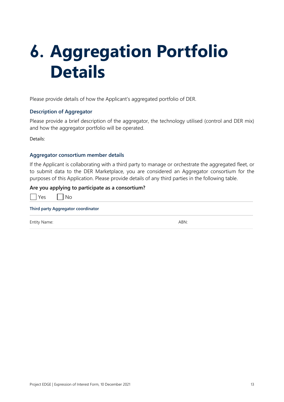# <span id="page-14-0"></span>**6. Aggregation Portfolio Details**

Please provide details of how the Applicant's aggregated portfolio of DER.

# **Description of Aggregator**

Please provide a brief description of the aggregator, the technology utilised (control and DER mix) and how the aggregator portfolio will be operated.

Details:

#### **Aggregator consortium member details**

If the Applicant is collaborating with a third party to manage or orchestrate the aggregated fleet, or to submit data to the DER Marketplace, you are considered an Aggregator consortium for the purposes of this Application. Please provide details of any third parties in the following table.

#### **Are you applying to participate as a consortium?**

| $\sim$ | Nο |
|--------|----|
|        |    |

|  | Third party Aggregator coordinator |  |
|--|------------------------------------|--|
|  |                                    |  |

Entity Name: ABN: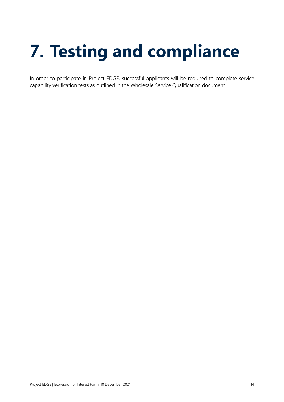# <span id="page-15-0"></span>**7. Testing and compliance**

In order to participate in Project EDGE, successful applicants will be required to complete service capability verification tests as outlined in the Wholesale Service Qualification document.